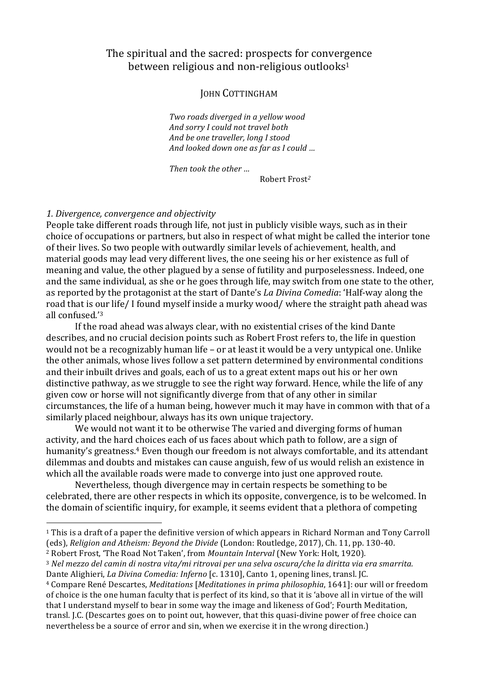# The spiritual and the sacred: prospects for convergence between religious and non-religious outlooks<sup>1</sup>

## **JOHN COTTINGHAM**

*Two roads diverged in a yellow wood* And sorry I could not travel both And be one traveller, long I stood *And looked down one as far as I could ...* 

Then took the other ...

Robert Frost*<sup>2</sup>*

### *1. Divergence, convergence and objectivity*

 

People take different roads through life, not just in publicly visible ways, such as in their choice of occupations or partners, but also in respect of what might be called the interior tone of their lives. So two people with outwardly similar levels of achievement, health, and material goods may lead very different lives, the one seeing his or her existence as full of meaning and value, the other plagued by a sense of futility and purposelessness. Indeed, one and the same individual, as she or he goes through life, may switch from one state to the other, as reported by the protagonist at the start of Dante's *La Divina Comedia*: 'Half-way along the road that is our life/ I found myself inside a murky wood/ where the straight path ahead was all confused.'<sup>3</sup>

If the road ahead was always clear, with no existential crises of the kind Dante describes, and no crucial decision points such as Robert Frost refers to, the life in question would not be a recognizably human life – or at least it would be a very untypical one. Unlike the other animals, whose lives follow a set pattern determined by environmental conditions and their inbuilt drives and goals, each of us to a great extent maps out his or her own distinctive pathway, as we struggle to see the right way forward. Hence, while the life of any given cow or horse will not significantly diverge from that of any other in similar circumstances, the life of a human being, however much it may have in common with that of a similarly placed neighbour, always has its own unique trajectory.

We would not want it to be otherwise The varied and diverging forms of human activity, and the hard choices each of us faces about which path to follow, are a sign of humanity's greatness.<sup>4</sup> Even though our freedom is not always comfortable, and its attendant dilemmas and doubts and mistakes can cause anguish, few of us would relish an existence in which all the available roads were made to converge into just one approved route.

Nevertheless, though divergence may in certain respects be something to be celebrated, there are other respects in which its opposite, convergence, is to be welcomed. In the domain of scientific inquiry, for example, it seems evident that a plethora of competing

 $1$  This is a draft of a paper the definitive version of which appears in Richard Norman and Tony Carroll (eds), *Religion and Atheism: Beyond the Divide* (London: Routledge, 2017), Ch. 11, pp. 130-40.

<sup>&</sup>lt;sup>2</sup> Robert Frost, 'The Road Not Taken', from *Mountain Interval* (New York: Holt, 1920).

<sup>&</sup>lt;sup>3</sup> Nel mezzo del camin di nostra vita/mi ritrovai per una selva oscura/che la diritta via era smarrita. Dante Alighieri, *La Divina Comedia: Inferno* [c. 1310], Canto 1, opening lines, transl. JC.

<sup>&</sup>lt;sup>4</sup> Compare René Descartes, *Meditations* [*Meditationes in prima philosophia*, 1641]: our will or freedom of choice is the one human faculty that is perfect of its kind, so that it is 'above all in virtue of the will that I understand myself to bear in some way the image and likeness of God'; Fourth Meditation, transl. J.C. (Descartes goes on to point out, however, that this quasi-divine power of free choice can nevertheless be a source of error and sin, when we exercise it in the wrong direction.)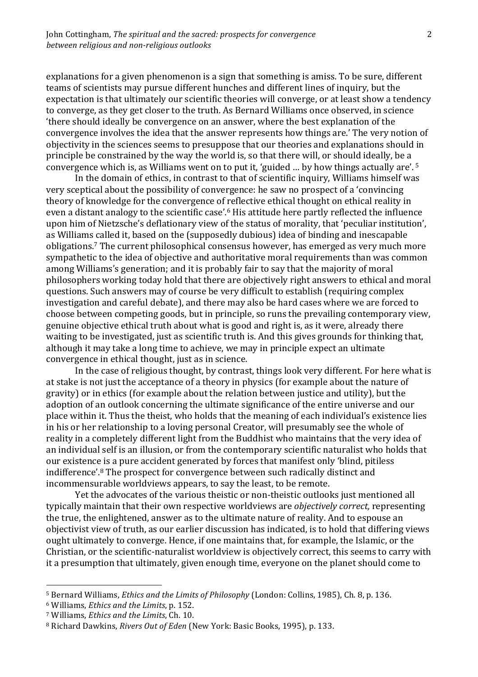explanations for a given phenomenon is a sign that something is amiss. To be sure, different teams of scientists may pursue different hunches and different lines of inquiry, but the expectation is that ultimately our scientific theories will converge, or at least show a tendency to converge, as they get closer to the truth. As Bernard Williams once observed, in science there should ideally be convergence on an answer, where the best explanation of the convergence involves the idea that the answer represents how things are.' The very notion of objectivity in the sciences seems to presuppose that our theories and explanations should in principle be constrained by the way the world is, so that there will, or should ideally, be a convergence which is, as Williams went on to put it, 'guided ... by how things actually are'.<sup>5</sup>

In the domain of ethics, in contrast to that of scientific inquiry, Williams himself was very sceptical about the possibility of convergence: he saw no prospect of a 'convincing theory of knowledge for the convergence of reflective ethical thought on ethical reality in even a distant analogy to the scientific case'.<sup>6</sup> His attitude here partly reflected the influence upon him of Nietzsche's deflationary view of the status of morality, that 'peculiar institution', as Williams called it, based on the (supposedly dubious) idea of binding and inescapable obligations.<sup>7</sup> The current philosophical consensus however, has emerged as very much more sympathetic to the idea of objective and authoritative moral requirements than was common among Williams's generation; and it is probably fair to say that the majority of moral philosophers working today hold that there are objectively right answers to ethical and moral questions. Such answers may of course be very difficult to establish (requiring complex investigation and careful debate), and there may also be hard cases where we are forced to choose between competing goods, but in principle, so runs the prevailing contemporary view, genuine objective ethical truth about what is good and right is, as it were, already there waiting to be investigated, just as scientific truth is. And this gives grounds for thinking that, although it may take a long time to achieve, we may in principle expect an ultimate convergence in ethical thought, just as in science.

In the case of religious thought, by contrast, things look very different. For here what is at stake is not just the acceptance of a theory in physics (for example about the nature of gravity) or in ethics (for example about the relation between justice and utility), but the adoption of an outlook concerning the ultimate significance of the entire universe and our place within it. Thus the theist, who holds that the meaning of each individual's existence lies in his or her relationship to a loving personal Creator, will presumably see the whole of reality in a completely different light from the Buddhist who maintains that the very idea of an individual self is an illusion, or from the contemporary scientific naturalist who holds that our existence is a pure accident generated by forces that manifest only 'blind, pitiless indifference'.<sup>8</sup> The prospect for convergence between such radically distinct and incommensurable worldviews appears, to say the least, to be remote.

Yet the advocates of the various theistic or non-theistic outlooks just mentioned all typically maintain that their own respective worldviews are *objectively correct*, representing the true, the enlightened, answer as to the ultimate nature of reality. And to espouse an objectivist view of truth, as our earlier discussion has indicated, is to hold that differing views ought ultimately to converge. Hence, if one maintains that, for example, the Islamic, or the Christian, or the scientific-naturalist worldview is objectively correct, this seems to carry with it a presumption that ultimately, given enough time, everyone on the planet should come to

<sup>&</sup>lt;sup>5</sup> Bernard Williams, *Ethics and the Limits of Philosophy* (London: Collins, 1985), Ch. 8, p. 136.

<sup>6</sup> Williams, *Ethics and the Limits*, p. 152.

<sup>7</sup> Williams, *Ethics and the Limits*, Ch. 10.

<sup>8</sup> Richard Dawkins, *Rivers Out of Eden* (New York: Basic Books, 1995), p. 133.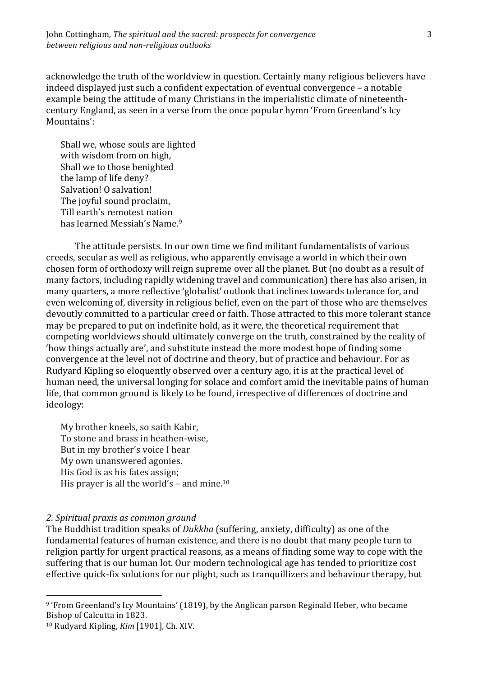acknowledge the truth of the worldview in question. Certainly many religious believers have indeed displayed just such a confident expectation of eventual convergence – a notable example being the attitude of many Christians in the imperialistic climate of nineteenthcentury England, as seen in a verse from the once popular hymn 'From Greenland's Icy Mountains':

Shall we, whose souls are lighted with wisdom from on high, Shall we to those benighted the lamp of life deny? Salvation! O salvation! The joyful sound proclaim, Till earth's remotest nation has learned Messiah's Name.<sup>9</sup>

The attitude persists. In our own time we find militant fundamentalists of various creeds, secular as well as religious, who apparently envisage a world in which their own chosen form of orthodoxy will reign supreme over all the planet. But (no doubt as a result of many factors, including rapidly widening travel and communication) there has also arisen, in many quarters, a more reflective 'globalist' outlook that inclines towards tolerance for, and even welcoming of, diversity in religious belief, even on the part of those who are themselves devoutly committed to a particular creed or faith. Those attracted to this more tolerant stance may be prepared to put on indefinite hold, as it were, the theoretical requirement that competing worldviews should ultimately converge on the truth, constrained by the reality of 'how things actually are', and substitute instead the more modest hope of finding some convergence at the level not of doctrine and theory, but of practice and behaviour. For as Rudyard Kipling so eloquently observed over a century ago, it is at the practical level of human need, the universal longing for solace and comfort amid the inevitable pains of human life, that common ground is likely to be found, irrespective of differences of doctrine and ideology:

My brother kneels, so saith Kabir, To stone and brass in heathen-wise, But in my brother's voice I hear My own unanswered agonies. His God is as his fates assign; His prayer is all the world's - and mine.<sup>10</sup>

## *2. Spiritual praxis as common ground*

The Buddhist tradition speaks of *Dukkha* (suffering, anxiety, difficulty) as one of the fundamental features of human existence, and there is no doubt that many people turn to religion partly for urgent practical reasons, as a means of finding some way to cope with the suffering that is our human lot. Our modern technological age has tended to prioritize cost effective quick-fix solutions for our plight, such as tranquillizers and behaviour therapy, but

<sup>&</sup>lt;sup>9</sup> 'From Greenland's Icy Mountains' (1819), by the Anglican parson Reginald Heber, who became Bishop of Calcutta in 1823.

<sup>10</sup> Rudyard Kipling, *Kim* [1901], Ch. XIV.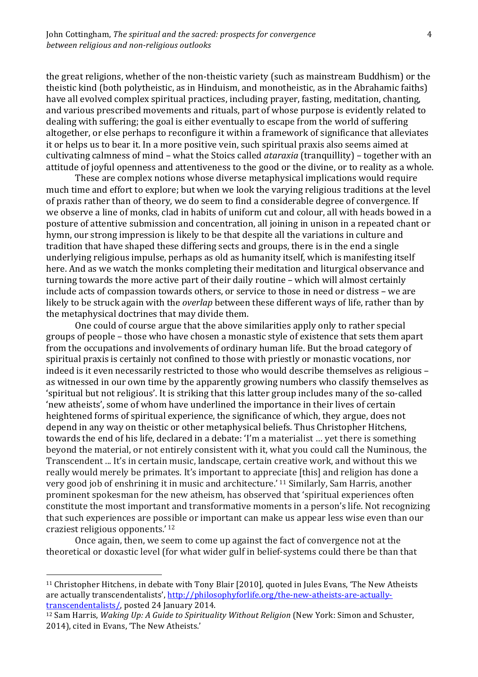the great religions, whether of the non-theistic variety (such as mainstream Buddhism) or the theistic kind (both polytheistic, as in Hinduism, and monotheistic, as in the Abrahamic faiths) have all evolved complex spiritual practices, including prayer, fasting, meditation, chanting, and various prescribed movements and rituals, part of whose purpose is evidently related to dealing with suffering; the goal is either eventually to escape from the world of suffering altogether, or else perhaps to reconfigure it within a framework of significance that alleviates it or helps us to bear it. In a more positive vein, such spiritual praxis also seems aimed at cultivating calmness of mind – what the Stoics called *ataraxia* (tranquillity) – together with an attitude of joyful openness and attentiveness to the good or the divine, or to reality as a whole.

These are complex notions whose diverse metaphysical implications would require much time and effort to explore; but when we look the varying religious traditions at the level of praxis rather than of theory, we do seem to find a considerable degree of convergence. If we observe a line of monks, clad in habits of uniform cut and colour, all with heads bowed in a posture of attentive submission and concentration, all joining in unison in a repeated chant or hymn, our strong impression is likely to be that despite all the variations in culture and tradition that have shaped these differing sects and groups, there is in the end a single underlying religious impulse, perhaps as old as humanity itself, which is manifesting itself here. And as we watch the monks completing their meditation and liturgical observance and turning towards the more active part of their daily routine – which will almost certainly include acts of compassion towards others, or service to those in need or distress – we are likely to be struck again with the *overlap* between these different ways of life, rather than by the metaphysical doctrines that may divide them.

One could of course argue that the above similarities apply only to rather special groups of people – those who have chosen a monastic style of existence that sets them apart from the occupations and involvements of ordinary human life. But the broad category of spiritual praxis is certainly not confined to those with priestly or monastic vocations, nor indeed is it even necessarily restricted to those who would describe themselves as religious as witnessed in our own time by the apparently growing numbers who classify themselves as 'spiritual but not religious'. It is striking that this latter group includes many of the so-called 'new atheists', some of whom have underlined the importance in their lives of certain heightened forms of spiritual experience, the significance of which, they argue, does not depend in any way on theistic or other metaphysical beliefs. Thus Christopher Hitchens, towards the end of his life, declared in a debate: 'I'm a materialist ... yet there is something beyond the material, or not entirely consistent with it, what you could call the Numinous, the Transcendent ... It's in certain music, landscape, certain creative work, and without this we really would merely be primates. It's important to appreciate [this] and religion has done a very good job of enshrining it in music and architecture.' <sup>11</sup> Similarly, Sam Harris, another prominent spokesman for the new atheism, has observed that 'spiritual experiences often constitute the most important and transformative moments in a person's life. Not recognizing that such experiences are possible or important can make us appear less wise even than our craziest religious opponents.'<sup>12</sup>

Once again, then, we seem to come up against the fact of convergence not at the theoretical or doxastic level (for what wider gulf in belief-systems could there be than that

<sup>&</sup>lt;sup>11</sup> Christopher Hitchens, in debate with Tony Blair [2010], quoted in Jules Evans, 'The New Atheists are actually transcendentalists', http://philosophyforlife.org/the-new-atheists-are-actuallytranscendentalists/, posted 24 January 2014.

<sup>&</sup>lt;sup>12</sup> Sam Harris, *Waking Up: A Guide to Spirituality Without Religion* (New York: Simon and Schuster, 2014), cited in Evans, 'The New Atheists.'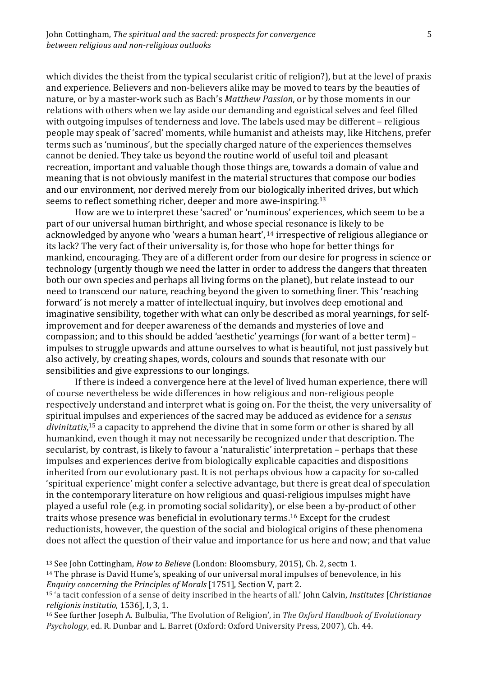which divides the theist from the typical secularist critic of religion?), but at the level of praxis and experience. Believers and non-believers alike may be moved to tears by the beauties of nature, or by a master-work such as Bach's *Matthew Passion*, or by those moments in our relations with others when we lay aside our demanding and egoistical selves and feel filled with outgoing impulses of tenderness and love. The labels used may be different – religious people may speak of 'sacred' moments, while humanist and atheists may, like Hitchens, prefer terms such as 'numinous', but the specially charged nature of the experiences themselves cannot be denied. They take us beyond the routine world of useful toil and pleasant recreation, important and valuable though those things are, towards a domain of value and meaning that is not obviously manifest in the material structures that compose our bodies and our environment, nor derived merely from our biologically inherited drives, but which seems to reflect something richer, deeper and more awe-inspiring.<sup>13</sup>

How are we to interpret these 'sacred' or 'numinous' experiences, which seem to be a part of our universal human birthright, and whose special resonance is likely to be acknowledged by anyone who 'wears a human heart', <sup>14</sup> irrespective of religious allegiance or its lack? The very fact of their universality is, for those who hope for better things for mankind, encouraging. They are of a different order from our desire for progress in science or technology (urgently though we need the latter in order to address the dangers that threaten both our own species and perhaps all living forms on the planet), but relate instead to our need to transcend our nature, reaching beyond the given to something finer. This 'reaching forward' is not merely a matter of intellectual inquiry, but involves deep emotional and imaginative sensibility, together with what can only be described as moral yearnings, for selfimprovement and for deeper awareness of the demands and mysteries of love and compassion; and to this should be added 'aesthetic' yearnings (for want of a better term) – impulses to struggle upwards and attune ourselves to what is beautiful, not just passively but also actively, by creating shapes, words, colours and sounds that resonate with our sensibilities and give expressions to our longings.

If there is indeed a convergence here at the level of lived human experience, there will of course nevertheless be wide differences in how religious and non-religious people respectively understand and interpret what is going on. For the theist, the very universality of spiritual impulses and experiences of the sacred may be adduced as evidence for a *sensus* divinitatis,<sup>15</sup> a capacity to apprehend the divine that in some form or other is shared by all humankind, even though it may not necessarily be recognized under that description. The secularist, by contrast, is likely to favour a 'naturalistic' interpretation – perhaps that these impulses and experiences derive from biologically explicable capacities and dispositions inherited from our evolutionary past. It is not perhaps obvious how a capacity for so-called 'spiritual experience' might confer a selective advantage, but there is great deal of speculation in the contemporary literature on how religious and quasi-religious impulses might have played a useful role (e.g. in promoting social solidarity), or else been a by-product of other traits whose presence was beneficial in evolutionary terms.<sup>16</sup> Except for the crudest reductionists, however, the question of the social and biological origins of these phenomena does not affect the question of their value and importance for us here and now; and that value

<sup>&</sup>lt;sup>13</sup> See John Cottingham, *How to Believe* (London: Bloomsbury, 2015), Ch. 2, sectn 1.

 $14$  The phrase is David Hume's, speaking of our universal moral impulses of benevolence, in his *Enquiry concerning the Principles of Morals* [1751], Section V, part 2.

<sup>15 &#</sup>x27;a tacit confession of a sense of deity inscribed in the hearts of all.' John Calvin, *Institutes* [*Christianae religionis institutio*, 1536], I, 3, 1.

<sup>&</sup>lt;sup>16</sup> See further Joseph A. Bulbulia, 'The Evolution of Religion', in *The Oxford Handbook of Evolutionary* Psychology, ed. R. Dunbar and L. Barret (Oxford: Oxford University Press, 2007), Ch. 44.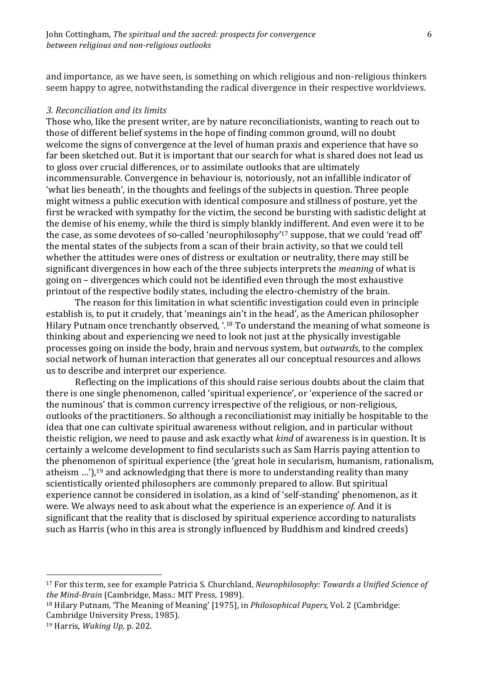and importance, as we have seen, is something on which religious and non-religious thinkers seem happy to agree, notwithstanding the radical divergence in their respective worldviews.

#### *3. Reconciliation and its limits*

Those who, like the present writer, are by nature reconciliationists, wanting to reach out to those of different belief systems in the hope of finding common ground, will no doubt welcome the signs of convergence at the level of human praxis and experience that have so far been sketched out. But it is important that our search for what is shared does not lead us to gloss over crucial differences, or to assimilate outlooks that are ultimately incommensurable. Convergence in behaviour is, notoriously, not an infallible indicator of 'what lies beneath', in the thoughts and feelings of the subjects in question. Three people might witness a public execution with identical composure and stillness of posture, yet the first be wracked with sympathy for the victim, the second be bursting with sadistic delight at the demise of his enemy, while the third is simply blankly indifferent. And even were it to be the case, as some devotees of so-called 'neurophilosophy'<sup>17</sup> suppose, that we could 'read off' the mental states of the subjects from a scan of their brain activity, so that we could tell whether the attitudes were ones of distress or exultation or neutrality, there may still be significant divergences in how each of the three subjects interprets the *meaning* of what is going on – divergences which could not be identified even through the most exhaustive printout of the respective bodily states, including the electro-chemistry of the brain.

The reason for this limitation in what scientific investigation could even in principle establish is, to put it crudely, that 'meanings ain't in the head', as the American philosopher Hilary Putnam once trenchantly observed, '.<sup>18</sup> To understand the meaning of what someone is thinking about and experiencing we need to look not just at the physically investigable processes going on inside the body, brain and nervous system, but *outwards*, to the complex social network of human interaction that generates all our conceptual resources and allows us to describe and interpret our experience.

Reflecting on the implications of this should raise serious doubts about the claim that there is one single phenomenon, called 'spiritual experience', or 'experience of the sacred or the numinous' that is common currency irrespective of the religious, or non-religious, outlooks of the practitioners. So although a reconciliationist may initially be hospitable to the idea that one can cultivate spiritual awareness without religion, and in particular without theistic religion, we need to pause and ask exactly what *kind* of awareness is in question. It is certainly a welcome development to find secularists such as Sam Harris paying attention to the phenomenon of spiritual experience (the 'great hole in secularism, humanism, rationalism, atheism ...'),<sup>19</sup> and acknowledging that there is more to understanding reality than many scientistically oriented philosophers are commonly prepared to allow. But spiritual experience cannot be considered in isolation, as a kind of 'self-standing' phenomenon, as it were. We always need to ask about what the experience is an experience of. And it is significant that the reality that is disclosed by spiritual experience according to naturalists such as Harris (who in this area is strongly influenced by Buddhism and kindred creeds)

<sup>&</sup>lt;sup>17</sup> For this term, see for example Patricia S. Churchland, *Neurophilosophy: Towards a Unified Science of the Mind-Brain* (Cambridge, Mass.: MIT Press, 1989).

<sup>&</sup>lt;sup>18</sup> Hilary Putnam, 'The Meaning of Meaning' [1975], in *Philosophical Papers*, Vol. 2 (Cambridge: Cambridge University Press, 1985).

<sup>19</sup> Harris, *Waking Up*, p. 202.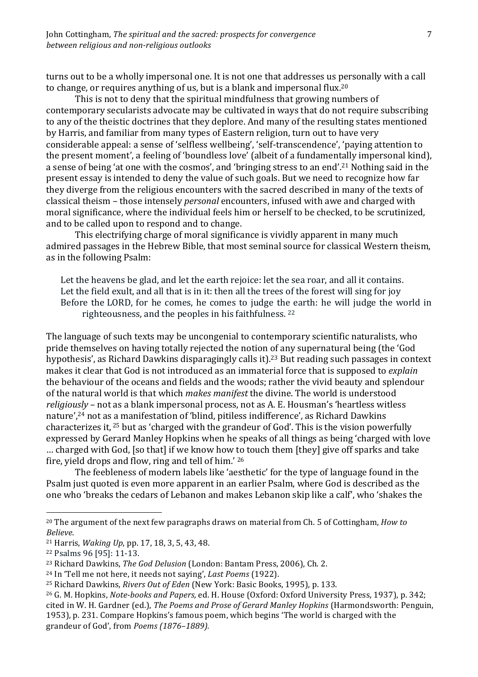turns out to be a wholly impersonal one. It is not one that addresses us personally with a call to change, or requires anything of us, but is a blank and impersonal flux.<sup>20</sup>

This is not to deny that the spiritual mindfulness that growing numbers of contemporary secularists advocate may be cultivated in ways that do not require subscribing to any of the theistic doctrines that they deplore. And many of the resulting states mentioned by Harris, and familiar from many types of Eastern religion, turn out to have very considerable appeal: a sense of 'selfless wellbeing', 'self-transcendence', 'paying attention to the present moment', a feeling of 'boundless love' (albeit of a fundamentally impersonal kind), a sense of being 'at one with the cosmos', and 'bringing stress to an end'.<sup>21</sup> Nothing said in the present essay is intended to deny the value of such goals. But we need to recognize how far they diverge from the religious encounters with the sacred described in many of the texts of classical theism – those intensely *personal* encounters, infused with awe and charged with moral significance, where the individual feels him or herself to be checked, to be scrutinized, and to be called upon to respond and to change.

This electrifying charge of moral significance is vividly apparent in many much admired passages in the Hebrew Bible, that most seminal source for classical Western theism, as in the following Psalm:

Let the heavens be glad, and let the earth rejoice: let the sea roar, and all it contains. Let the field exult, and all that is in it: then all the trees of the forest will sing for joy Before the LORD, for he comes, he comes to judge the earth: he will judge the world in righteousness, and the peoples in his faithfulness.  $22$ 

The language of such texts may be uncongenial to contemporary scientific naturalists, who pride themselves on having totally rejected the notion of any supernatural being (the 'God hypothesis', as Richard Dawkins disparagingly calls it).<sup>23</sup> But reading such passages in context makes it clear that God is not introduced as an immaterial force that is supposed to *explain* the behaviour of the oceans and fields and the woods; rather the vivid beauty and splendour of the natural world is that which *makes manifest* the divine. The world is understood *religiously* – not as a blank impersonal process, not as A. E. Housman's 'heartless witless nature',<sup>24</sup> not as a manifestation of 'blind, pitiless indifference', as Richard Dawkins characterizes it,  $25$  but as 'charged with the grandeur of God'. This is the vision powerfully expressed by Gerard Manley Hopkins when he speaks of all things as being 'charged with love ... charged with God, [so that] if we know how to touch them [they] give off sparks and take fire, yield drops and flow, ring and tell of him.'  $26$ 

The feebleness of modern labels like 'aesthetic' for the type of language found in the Psalm just quoted is even more apparent in an earlier Psalm, where God is described as the one who 'breaks the cedars of Lebanon and makes Lebanon skip like a calf', who 'shakes the

<sup>&</sup>lt;sup>20</sup> The argument of the next few paragraphs draws on material from Ch. 5 of Cottingham, *How to Believe*.

<sup>&</sup>lt;sup>21</sup> Harris, *Waking Up*, pp. 17, 18, 3, 5, 43, 48.

<sup>22</sup> Psalms 96 [95]: 11-13.

<sup>&</sup>lt;sup>23</sup> Richard Dawkins, *The God Delusion* (London: Bantam Press, 2006), Ch. 2.

<sup>&</sup>lt;sup>24</sup> In 'Tell me not here, it needs not saying', *Last Poems* (1922).

<sup>&</sup>lt;sup>25</sup> Richard Dawkins, *Rivers Out of Eden* (New York: Basic Books, 1995), p. 133.

<sup>&</sup>lt;sup>26</sup> G. M. Hopkins, *Note-books and Papers, ed. H. House (Oxford: Oxford University Press, 1937), p. 342;* cited in W. H. Gardner (ed.), *The Poems and Prose of Gerard Manley Hopkins* (Harmondsworth: Penguin, 1953), p. 231. Compare Hopkins's famous poem, which begins 'The world is charged with the grandeur of God', from *Poems* (1876–1889).